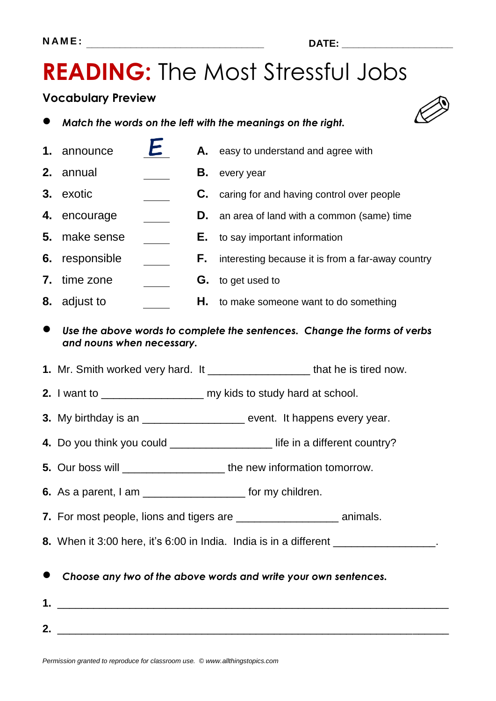**2.** \_\_\_\_\_\_\_\_\_\_\_\_\_\_\_\_\_\_\_\_\_\_\_\_\_\_\_\_\_\_\_\_\_\_\_\_\_\_\_\_\_\_\_\_\_\_\_\_\_\_\_\_\_\_\_\_\_\_\_\_\_\_\_\_\_

### **Vocabulary Preview**

|  | Match the words on the left with the meanings on the right. |  |
|--|-------------------------------------------------------------|--|
|--|-------------------------------------------------------------|--|

п

|    | 1. announce                                                                                                                                                                             | C.             | Α. | easy to understand and agree with                                             |  |
|----|-----------------------------------------------------------------------------------------------------------------------------------------------------------------------------------------|----------------|----|-------------------------------------------------------------------------------|--|
| 2. | annual                                                                                                                                                                                  |                | В. | every year                                                                    |  |
| 3. | exotic                                                                                                                                                                                  |                | C. | caring for and having control over people                                     |  |
| 4. | encourage                                                                                                                                                                               |                | D. | an area of land with a common (same) time                                     |  |
| 5. | make sense                                                                                                                                                                              |                | Е. | to say important information                                                  |  |
| 6. | responsible                                                                                                                                                                             | $\mathbb{R}^n$ | F. | interesting because it is from a far-away country                             |  |
| 7. | time zone                                                                                                                                                                               |                | G. | to get used to                                                                |  |
|    | 8. adjust to                                                                                                                                                                            |                | Η. | to make someone want to do something                                          |  |
|    | Use the above words to complete the sentences. Change the forms of verbs<br>and nouns when necessary.                                                                                   |                |    |                                                                               |  |
|    |                                                                                                                                                                                         |                |    | 1. Mr. Smith worked very hard. It _____________________ that he is tired now. |  |
|    |                                                                                                                                                                                         |                |    | 2. I want to __________________________ my kids to study hard at school.      |  |
|    |                                                                                                                                                                                         |                |    | 3. My birthday is an ____________________ event. It happens every year.       |  |
|    | 4. Do you think you could ________________________ life in a different country?                                                                                                         |                |    |                                                                               |  |
|    | 5. Our boss will ______________________the new information tomorrow.                                                                                                                    |                |    |                                                                               |  |
|    | 6. As a parent, $I$ am $\frac{1}{1}$ am $\frac{1}{1}$ for my children.                                                                                                                  |                |    |                                                                               |  |
|    | 7. For most people, lions and tigers are _______<br>animals.                                                                                                                            |                |    |                                                                               |  |
|    | 8. When it 3:00 here, it's 6:00 in India. India is in a different ________________.                                                                                                     |                |    |                                                                               |  |
|    | Choose any two of the above words and write your own sentences.<br><u> 2002 - Jan James James James James James James James James James James James James James James James James J</u> |                |    |                                                                               |  |



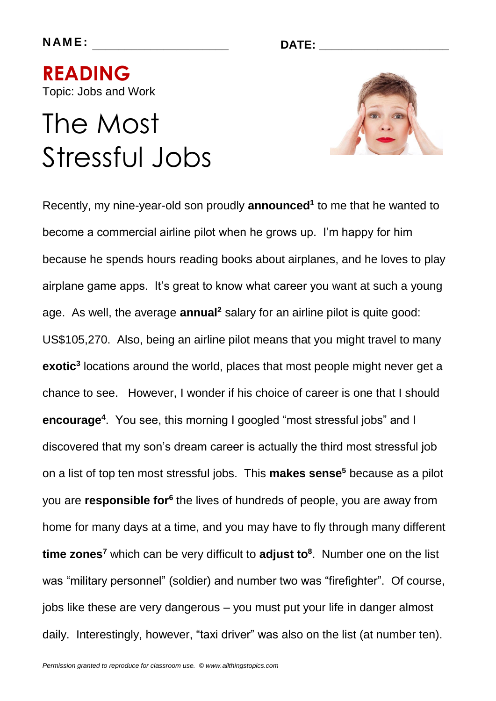**N AM E : \_\_\_\_\_\_\_\_\_\_\_\_\_\_\_\_\_\_\_\_\_ DATE: \_\_\_\_\_\_\_\_\_\_\_\_\_\_\_\_\_\_\_\_**

**READING**  Topic: Jobs and Work

## The Most Stressful Jobs



Recently, my nine-year-old son proudly **announced<sup>1</sup>** to me that he wanted to become a commercial airline pilot when he grows up. I'm happy for him because he spends hours reading books about airplanes, and he loves to play airplane game apps. It's great to know what career you want at such a young age. As well, the average **annual<sup>2</sup>** salary for an airline pilot is quite good: US\$105,270. Also, being an airline pilot means that you might travel to many **exotic<sup>3</sup>** locations around the world, places that most people might never get a chance to see. However, I wonder if his choice of career is one that I should **encourage<sup>4</sup>** . You see, this morning I googled "most stressful jobs" and I discovered that my son's dream career is actually the third most stressful job on a list of top ten most stressful jobs. This **makes sense<sup>5</sup>** because as a pilot you are **responsible for<sup>6</sup>** the lives of hundreds of people, you are away from home for many days at a time, and you may have to fly through many different **time zones<sup>7</sup>** which can be very difficult to **adjust to<sup>8</sup>** . Number one on the list was "military personnel" (soldier) and number two was "firefighter". Of course, jobs like these are very dangerous – you must put your life in danger almost daily. Interestingly, however, "taxi driver" was also on the list (at number ten).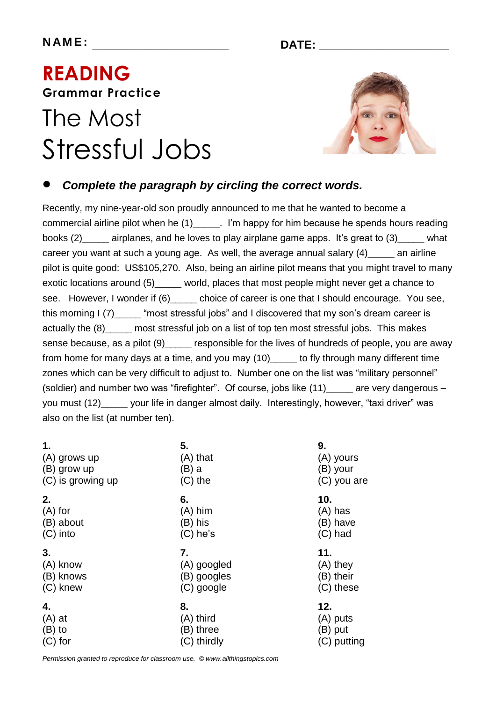### **READING Grammar Practice**  The Most

# Stressful Jobs



### *Complete the paragraph by circling the correct words.*

Recently, my nine-year-old son proudly announced to me that he wanted to become a commercial airline pilot when he (1) Tim happy for him because he spends hours reading books (2)\_\_\_\_\_ airplanes, and he loves to play airplane game apps. It's great to (3)\_\_\_\_\_ what career you want at such a young age. As well, the average annual salary (4) an airline pilot is quite good: US\$105,270. Also, being an airline pilot means that you might travel to many exotic locations around (5)\_\_\_\_\_ world, places that most people might never get a chance to see. However, I wonder if (6) choice of career is one that I should encourage. You see, this morning I (7)\_\_\_\_\_ "most stressful jobs" and I discovered that my son's dream career is actually the (8)\_\_\_\_\_ most stressful job on a list of top ten most stressful jobs. This makes sense because, as a pilot (9) eresponsible for the lives of hundreds of people, you are away from home for many days at a time, and you may (10)\_\_\_\_\_ to fly through many different time zones which can be very difficult to adjust to. Number one on the list was "military personnel" (soldier) and number two was "firefighter". Of course, jobs like (11) are very dangerous – you must (12)\_\_\_\_\_ your life in danger almost daily. Interestingly, however, "taxi driver" was also on the list (at number ten).

| 1.                | 5.          | 9.          |
|-------------------|-------------|-------------|
| (A) grows up      | (A) that    | (A) yours   |
| (B) grow up       | (B) a       | (B) your    |
| (C) is growing up | $(C)$ the   | (C) you are |
| 2.                | 6.          | 10.         |
| $(A)$ for         | $(A)$ him   | $(A)$ has   |
| (B) about         | (B) his     | (B) have    |
| $(C)$ into        | $(C)$ he's  | $(C)$ had   |
| 3.                | 7.          | 11.         |
| (A) know          | (A) googled | (A) they    |
| (B) knows         | (B) googles | (B) their   |
| (C) knew          | (C) google  | (C) these   |
| 4.                | 8.          | 12.         |
| $(A)$ at          | (A) third   | (A) puts    |
| $(B)$ to          | (B) three   | (B) put     |
| $(C)$ for         | (C) thirdly | (C) putting |

*Permission granted to reproduce for classroom use. © www.allthingstopics.com*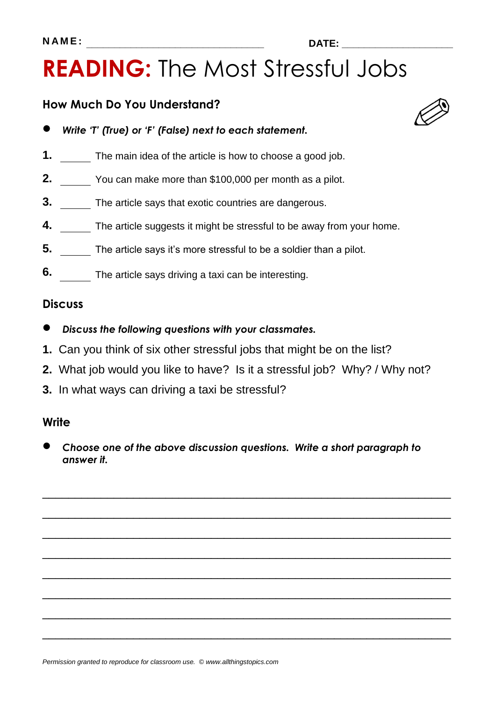### **N A M E : \_\_\_\_\_\_\_\_\_\_\_\_\_\_\_\_\_\_\_\_\_\_\_\_\_\_\_\_\_\_\_\_ DATE: \_\_\_\_\_\_\_\_\_\_\_\_\_\_\_\_\_\_\_\_**

### **READING:** The Most Stressful Jobs

### **How Much Do You Understand?**

- *Write 'T' (True) or 'F' (False) next to each statement.*
- **1.** The main idea of the article is how to choose a good job.
- **2.** You can make more than \$100,000 per month as a pilot.
- **3.** The article says that exotic countries are dangerous.
- **4.** The article suggests it might be stressful to be away from your home.
- **5.** The article says it's more stressful to be a soldier than a pilot.
- **6.** The article says driving a taxi can be interesting.

#### **Discuss**

- *Discuss the following questions with your classmates.*
- **1.** Can you think of six other stressful jobs that might be on the list?
- **2.** What job would you like to have? Is it a stressful job? Why? / Why not?
- **3.** In what ways can driving a taxi be stressful?

### **Write**

 *Choose one of the above discussion questions. Write a short paragraph to answer it.*

\_\_\_\_\_\_\_\_\_\_\_\_\_\_\_\_\_\_\_\_\_\_\_\_\_\_\_\_\_\_\_\_\_\_\_\_\_\_\_\_\_\_\_\_\_\_\_\_\_\_\_\_\_\_\_\_\_\_\_\_\_\_\_

\_\_\_\_\_\_\_\_\_\_\_\_\_\_\_\_\_\_\_\_\_\_\_\_\_\_\_\_\_\_\_\_\_\_\_\_\_\_\_\_\_\_\_\_\_\_\_\_\_\_\_\_\_\_\_\_\_\_\_\_\_\_\_

\_\_\_\_\_\_\_\_\_\_\_\_\_\_\_\_\_\_\_\_\_\_\_\_\_\_\_\_\_\_\_\_\_\_\_\_\_\_\_\_\_\_\_\_\_\_\_\_\_\_\_\_\_\_\_\_\_\_\_\_\_\_\_

\_\_\_\_\_\_\_\_\_\_\_\_\_\_\_\_\_\_\_\_\_\_\_\_\_\_\_\_\_\_\_\_\_\_\_\_\_\_\_\_\_\_\_\_\_\_\_\_\_\_\_\_\_\_\_\_\_\_\_\_\_\_\_

\_\_\_\_\_\_\_\_\_\_\_\_\_\_\_\_\_\_\_\_\_\_\_\_\_\_\_\_\_\_\_\_\_\_\_\_\_\_\_\_\_\_\_\_\_\_\_\_\_\_\_\_\_\_\_\_\_\_\_\_\_\_\_

\_\_\_\_\_\_\_\_\_\_\_\_\_\_\_\_\_\_\_\_\_\_\_\_\_\_\_\_\_\_\_\_\_\_\_\_\_\_\_\_\_\_\_\_\_\_\_\_\_\_\_\_\_\_\_\_\_\_\_\_\_\_\_

\_\_\_\_\_\_\_\_\_\_\_\_\_\_\_\_\_\_\_\_\_\_\_\_\_\_\_\_\_\_\_\_\_\_\_\_\_\_\_\_\_\_\_\_\_\_\_\_\_\_\_\_\_\_\_\_\_\_\_\_\_\_\_

\_\_\_\_\_\_\_\_\_\_\_\_\_\_\_\_\_\_\_\_\_\_\_\_\_\_\_\_\_\_\_\_\_\_\_\_\_\_\_\_\_\_\_\_\_\_\_\_\_\_\_\_\_\_\_\_\_\_\_\_\_\_\_